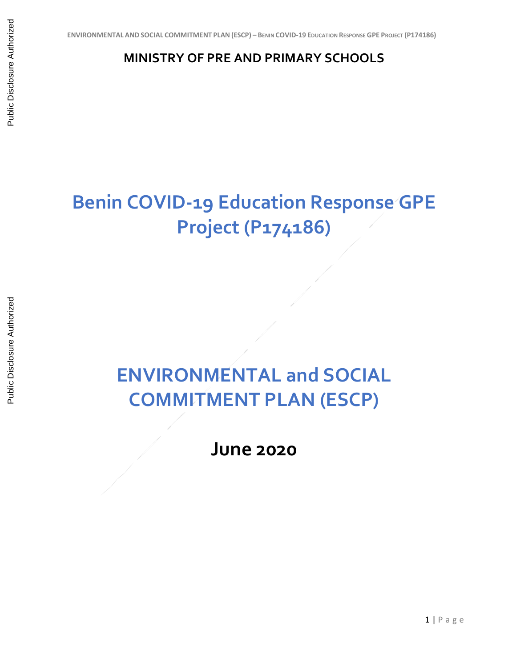## **MINISTRY OF PRE AND PRIMARY SCHOOLS**

## **Benin COVID-19 Education Response GPE Project (P174186)**

## **ENVIRONMENTAL and SOCIAL COMMITMENT PLAN (ESCP)**

**June 2020**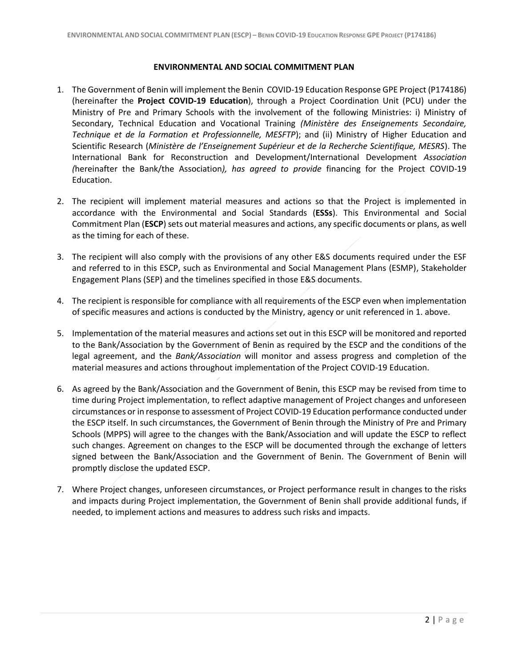## **ENVIRONMENTAL AND SOCIAL COMMITMENT PLAN**

- 1. The Government of Benin will implement the Benin COVID-19 Education Response GPE Project (P174186) (hereinafter the **Project COVID-19 Education**), through a Project Coordination Unit (PCU) under the Ministry of Pre and Primary Schools with the involvement of the following Ministries: i) Ministry of Secondary, Technical Education and Vocational Training *(Ministère des Enseignements Secondaire, Technique et de la Formation et Professionnelle, MESFTP*); and (ii) Ministry of Higher Education and Scientific Research (*Ministère de l'Enseignement Supérieur et de la Recherche Scientifique, MESRS*). The International Bank for Reconstruction and Development/International Development *Association (*hereinafter the Bank/the Association*), has agreed to provide* financing for the Project COVID-19 Education.
- 2. The recipient will implement material measures and actions so that the Project is implemented in accordance with the Environmental and Social Standards (**ESSs**). This Environmental and Social Commitment Plan (**ESCP**) sets out material measures and actions, any specific documents or plans, as well as the timing for each of these.
- 3. The recipient will also comply with the provisions of any other E&S documents required under the ESF and referred to in this ESCP, such as Environmental and Social Management Plans (ESMP), Stakeholder Engagement Plans (SEP) and the timelines specified in those E&S documents.
- 4. The recipient is responsible for compliance with all requirements of the ESCP even when implementation of specific measures and actions is conducted by the Ministry, agency or unit referenced in 1. above.
- 5. Implementation of the material measures and actions set out in this ESCP will be monitored and reported to the Bank/Association by the Government of Benin as required by the ESCP and the conditions of the legal agreement, and the *Bank/Association* will monitor and assess progress and completion of the material measures and actions throughout implementation of the Project COVID-19 Education.
- 6. As agreed by the Bank/Association and the Government of Benin, this ESCP may be revised from time to time during Project implementation, to reflect adaptive management of Project changes and unforeseen circumstances or in response to assessment of Project COVID-19 Education performance conducted under the ESCP itself. In such circumstances, the Government of Benin through the Ministry of Pre and Primary Schools (MPPS) will agree to the changes with the Bank/Association and will update the ESCP to reflect such changes. Agreement on changes to the ESCP will be documented through the exchange of letters signed between the Bank/Association and the Government of Benin. The Government of Benin will promptly disclose the updated ESCP.
- 7. Where Project changes, unforeseen circumstances, or Project performance result in changes to the risks and impacts during Project implementation, the Government of Benin shall provide additional funds, if needed, to implement actions and measures to address such risks and impacts.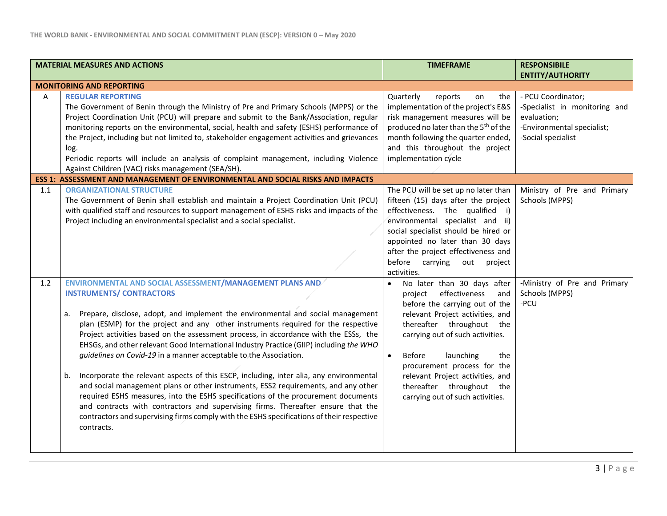| <b>MATERIAL MEASURES AND ACTIONS</b> |                                                                                                                                                                                                                                                                                                                                                                                                                                                                                                                                                                                                                                                                                                                                                                                                                                                                                                                                                                                                              | <b>TIMEFRAME</b>                                                                                                                                                                                                                                                                                                                                                                     | <b>RESPONSIBILE</b><br><b>ENTITY/AUTHORITY</b>                                                                         |  |  |
|--------------------------------------|--------------------------------------------------------------------------------------------------------------------------------------------------------------------------------------------------------------------------------------------------------------------------------------------------------------------------------------------------------------------------------------------------------------------------------------------------------------------------------------------------------------------------------------------------------------------------------------------------------------------------------------------------------------------------------------------------------------------------------------------------------------------------------------------------------------------------------------------------------------------------------------------------------------------------------------------------------------------------------------------------------------|--------------------------------------------------------------------------------------------------------------------------------------------------------------------------------------------------------------------------------------------------------------------------------------------------------------------------------------------------------------------------------------|------------------------------------------------------------------------------------------------------------------------|--|--|
| <b>MONITORING AND REPORTING</b>      |                                                                                                                                                                                                                                                                                                                                                                                                                                                                                                                                                                                                                                                                                                                                                                                                                                                                                                                                                                                                              |                                                                                                                                                                                                                                                                                                                                                                                      |                                                                                                                        |  |  |
| A                                    | <b>REGULAR REPORTING</b><br>The Government of Benin through the Ministry of Pre and Primary Schools (MPPS) or the<br>Project Coordination Unit (PCU) will prepare and submit to the Bank/Association, regular<br>monitoring reports on the environmental, social, health and safety (ESHS) performance of<br>the Project, including but not limited to, stakeholder engagement activities and grievances<br>log.<br>Periodic reports will include an analysis of complaint management, including Violence<br>Against Children (VAC) risks management (SEA/SH).                                                                                                                                                                                                                                                                                                                                                                                                                                               | Quarterly<br>reports<br>the<br>on<br>implementation of the project's E&S<br>risk management measures will be<br>produced no later than the 5 <sup>th</sup> of the<br>month following the quarter ended,<br>and this throughout the project<br>implementation cycle                                                                                                                   | - PCU Coordinator;<br>-Specialist in monitoring and<br>evaluation;<br>-Environmental specialist;<br>-Social specialist |  |  |
|                                      | ESS 1: ASSESSMENT AND MANAGEMENT OF ENVIRONMENTAL AND SOCIAL RISKS AND IMPACTS                                                                                                                                                                                                                                                                                                                                                                                                                                                                                                                                                                                                                                                                                                                                                                                                                                                                                                                               |                                                                                                                                                                                                                                                                                                                                                                                      |                                                                                                                        |  |  |
| 1.1                                  | <b>ORGANIZATIONAL STRUCTURE</b><br>The Government of Benin shall establish and maintain a Project Coordination Unit (PCU)<br>with qualified staff and resources to support management of ESHS risks and impacts of the<br>Project including an environmental specialist and a social specialist.                                                                                                                                                                                                                                                                                                                                                                                                                                                                                                                                                                                                                                                                                                             | The PCU will be set up no later than<br>fifteen (15) days after the project<br>effectiveness. The qualified i)<br>environmental specialist and ii)<br>social specialist should be hired or<br>appointed no later than 30 days<br>after the project effectiveness and<br>before carrying<br>out<br>project<br>activities.                                                             | Ministry of Pre and Primary<br>Schools (MPPS)                                                                          |  |  |
| 1.2                                  | ENVIRONMENTAL AND SOCIAL ASSESSMENT/MANAGEMENT PLANS AND<br><b>INSTRUMENTS/ CONTRACTORS</b><br>Prepare, disclose, adopt, and implement the environmental and social management<br>a.<br>plan (ESMP) for the project and any other instruments required for the respective<br>Project activities based on the assessment process, in accordance with the ESSs, the<br>EHSGs, and other relevant Good International Industry Practice (GIIP) including the WHO<br>guidelines on Covid-19 in a manner acceptable to the Association.<br>Incorporate the relevant aspects of this ESCP, including, inter alia, any environmental<br>b.<br>and social management plans or other instruments, ESS2 requirements, and any other<br>required ESHS measures, into the ESHS specifications of the procurement documents<br>and contracts with contractors and supervising firms. Thereafter ensure that the<br>contractors and supervising firms comply with the ESHS specifications of their respective<br>contracts. | No later than 30 days after<br>effectiveness<br>and<br>project<br>before the carrying out of the<br>relevant Project activities, and<br>thereafter throughout the<br>carrying out of such activities.<br>Before<br>launching<br>the<br>$\bullet$<br>procurement process for the<br>relevant Project activities, and<br>thereafter throughout the<br>carrying out of such activities. | -Ministry of Pre and Primary<br>Schools (MPPS)<br>-PCU                                                                 |  |  |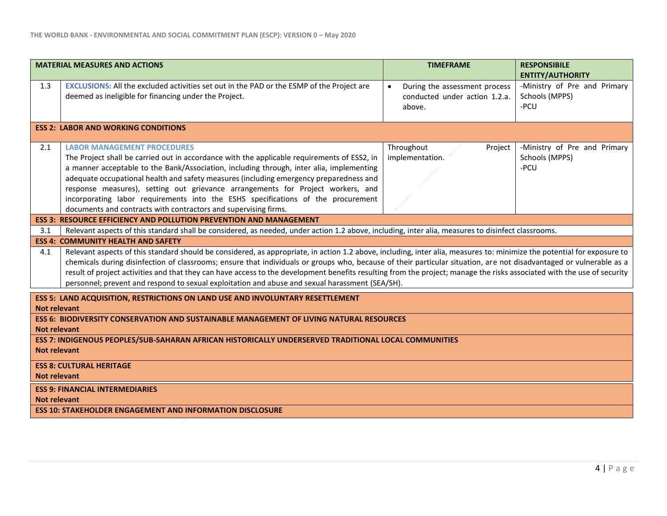| <b>MATERIAL MEASURES AND ACTIONS</b>                                                                                                                                                                                                                                                                                                                                                                                                                                                                                                                                                                                                | <b>TIMEFRAME</b>                                                                      | <b>RESPONSIBILE</b>                                                               |  |  |  |
|-------------------------------------------------------------------------------------------------------------------------------------------------------------------------------------------------------------------------------------------------------------------------------------------------------------------------------------------------------------------------------------------------------------------------------------------------------------------------------------------------------------------------------------------------------------------------------------------------------------------------------------|---------------------------------------------------------------------------------------|-----------------------------------------------------------------------------------|--|--|--|
| EXCLUSIONS: All the excluded activities set out in the PAD or the ESMP of the Project are<br>1.3<br>deemed as ineligible for financing under the Project.                                                                                                                                                                                                                                                                                                                                                                                                                                                                           | During the assessment process<br>$\bullet$<br>conducted under action 1.2.a.<br>above. | <b>ENTITY/AUTHORITY</b><br>-Ministry of Pre and Primary<br>Schools (MPPS)<br>-PCU |  |  |  |
| <b>ESS 2: LABOR AND WORKING CONDITIONS</b>                                                                                                                                                                                                                                                                                                                                                                                                                                                                                                                                                                                          |                                                                                       |                                                                                   |  |  |  |
| 2.1<br><b>LABOR MANAGEMENT PROCEDURES</b><br>The Project shall be carried out in accordance with the applicable requirements of ESS2, in<br>a manner acceptable to the Bank/Association, including through, inter alia, implementing<br>adequate occupational health and safety measures (including emergency preparedness and<br>response measures), setting out grievance arrangements for Project workers, and<br>incorporating labor requirements into the ESHS specifications of the procurement<br>documents and contracts with contractors and supervising firms.                                                            | Throughout<br>Project<br>implementation.                                              | -Ministry of Pre and Primary<br>Schools (MPPS)<br>-PCU                            |  |  |  |
| <b>ESS 3: RESOURCE EFFICIENCY AND POLLUTION PREVENTION AND MANAGEMENT</b>                                                                                                                                                                                                                                                                                                                                                                                                                                                                                                                                                           |                                                                                       |                                                                                   |  |  |  |
| 3.1<br>Relevant aspects of this standard shall be considered, as needed, under action 1.2 above, including, inter alia, measures to disinfect classrooms.                                                                                                                                                                                                                                                                                                                                                                                                                                                                           |                                                                                       |                                                                                   |  |  |  |
| <b>ESS 4: COMMUNITY HEALTH AND SAFETY</b>                                                                                                                                                                                                                                                                                                                                                                                                                                                                                                                                                                                           |                                                                                       |                                                                                   |  |  |  |
| Relevant aspects of this standard should be considered, as appropriate, in action 1.2 above, including, inter alia, measures to: minimize the potential for exposure to<br>4.1<br>chemicals during disinfection of classrooms; ensure that individuals or groups who, because of their particular situation, are not disadvantaged or vulnerable as a<br>result of project activities and that they can have access to the development benefits resulting from the project; manage the risks associated with the use of security<br>personnel; prevent and respond to sexual exploitation and abuse and sexual harassment (SEA/SH). |                                                                                       |                                                                                   |  |  |  |
| <b>ESS 5: LAND ACQUISITION, RESTRICTIONS ON LAND USE AND INVOLUNTARY RESETTLEMENT</b>                                                                                                                                                                                                                                                                                                                                                                                                                                                                                                                                               |                                                                                       |                                                                                   |  |  |  |
| <b>Not relevant</b><br><b>ESS 6: BIODIVERSITY CONSERVATION AND SUSTAINABLE MANAGEMENT OF LIVING NATURAL RESOURCES</b><br>Not relevant<br>ESS 7: INDIGENOUS PEOPLES/SUB-SAHARAN AFRICAN HISTORICALLY UNDERSERVED TRADITIONAL LOCAL COMMUNITIES<br><b>Not relevant</b>                                                                                                                                                                                                                                                                                                                                                                |                                                                                       |                                                                                   |  |  |  |
| <b>ESS 8: CULTURAL HERITAGE</b><br><b>Not relevant</b>                                                                                                                                                                                                                                                                                                                                                                                                                                                                                                                                                                              |                                                                                       |                                                                                   |  |  |  |
| <b>ESS 9: FINANCIAL INTERMEDIARIES</b><br><b>Not relevant</b>                                                                                                                                                                                                                                                                                                                                                                                                                                                                                                                                                                       |                                                                                       |                                                                                   |  |  |  |
| <b>ESS 10: STAKEHOLDER ENGAGEMENT AND INFORMATION DISCLOSURE</b>                                                                                                                                                                                                                                                                                                                                                                                                                                                                                                                                                                    |                                                                                       |                                                                                   |  |  |  |